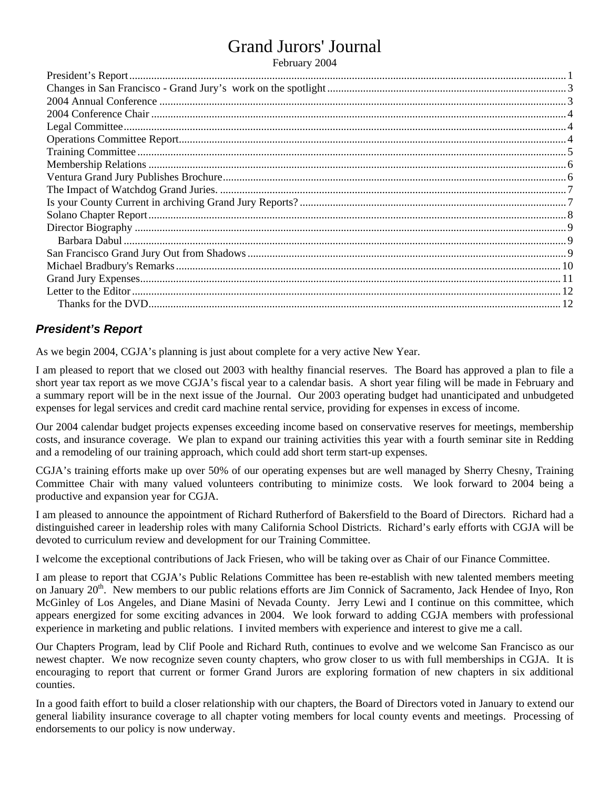# Grand Jurors' Journal

February 2004

## <span id="page-0-0"></span>*President's Report*

As we begin 2004, CGJA's planning is just about complete for a very active New Year.

I am pleased to report that we closed out 2003 with healthy financial reserves. The Board has approved a plan to file a short year tax report as we move CGJA's fiscal year to a calendar basis. A short year filing will be made in February and a summary report will be in the next issue of the Journal. Our 2003 operating budget had unanticipated and unbudgeted expenses for legal services and credit card machine rental service, providing for expenses in excess of income.

Our 2004 calendar budget projects expenses exceeding income based on conservative reserves for meetings, membership costs, and insurance coverage. We plan to expand our training activities this year with a fourth seminar site in Redding and a remodeling of our training approach, which could add short term start-up expenses.

CGJA's training efforts make up over 50% of our operating expenses but are well managed by Sherry Chesny, Training Committee Chair with many valued volunteers contributing to minimize costs. We look forward to 2004 being a productive and expansion year for CGJA.

I am pleased to announce the appointment of Richard Rutherford of Bakersfield to the Board of Directors. Richard had a distinguished career in leadership roles with many California School Districts. Richard's early efforts with CGJA will be devoted to curriculum review and development for our Training Committee.

I welcome the exceptional contributions of Jack Friesen, who will be taking over as Chair of our Finance Committee.

I am please to report that CGJA's Public Relations Committee has been re-establish with new talented members meeting on January 20<sup>th</sup>. New members to our public relations efforts are Jim Connick of Sacramento, Jack Hendee of Inyo, Ron McGinley of Los Angeles, and Diane Masini of Nevada County. Jerry Lewi and I continue on this committee, which appears energized for some exciting advances in 2004. We look forward to adding CGJA members with professional experience in marketing and public relations. I invited members with experience and interest to give me a call.

Our Chapters Program, lead by Clif Poole and Richard Ruth, continues to evolve and we welcome San Francisco as our newest chapter. We now recognize seven county chapters, who grow closer to us with full memberships in CGJA. It is encouraging to report that current or former Grand Jurors are exploring formation of new chapters in six additional counties.

In a good faith effort to build a closer relationship with our chapters, the Board of Directors voted in January to extend our general liability insurance coverage to all chapter voting members for local county events and meetings. Processing of endorsements to our policy is now underway.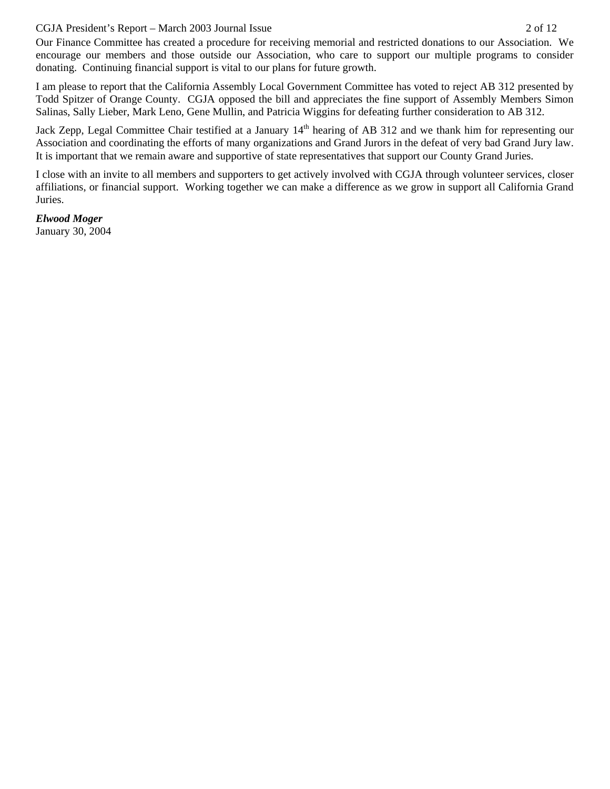#### CGJA President's Report – March 2003 Journal Issue 2 of 12

Our Finance Committee has created a procedure for receiving memorial and restricted donations to our Association. We encourage our members and those outside our Association, who care to support our multiple programs to consider donating. Continuing financial support is vital to our plans for future growth.

I am please to report that the California Assembly Local Government Committee has voted to reject AB 312 presented by Todd Spitzer of Orange County. CGJA opposed the bill and appreciates the fine support of Assembly Members Simon Salinas, Sally Lieber, Mark Leno, Gene Mullin, and Patricia Wiggins for defeating further consideration to AB 312.

Jack Zepp, Legal Committee Chair testified at a January 14<sup>th</sup> hearing of AB 312 and we thank him for representing our Association and coordinating the efforts of many organizations and Grand Jurors in the defeat of very bad Grand Jury law. It is important that we remain aware and supportive of state representatives that support our County Grand Juries.

I close with an invite to all members and supporters to get actively involved with CGJA through volunteer services, closer affiliations, or financial support. Working together we can make a difference as we grow in support all California Grand Juries.

*Elwood Moger* January 30, 2004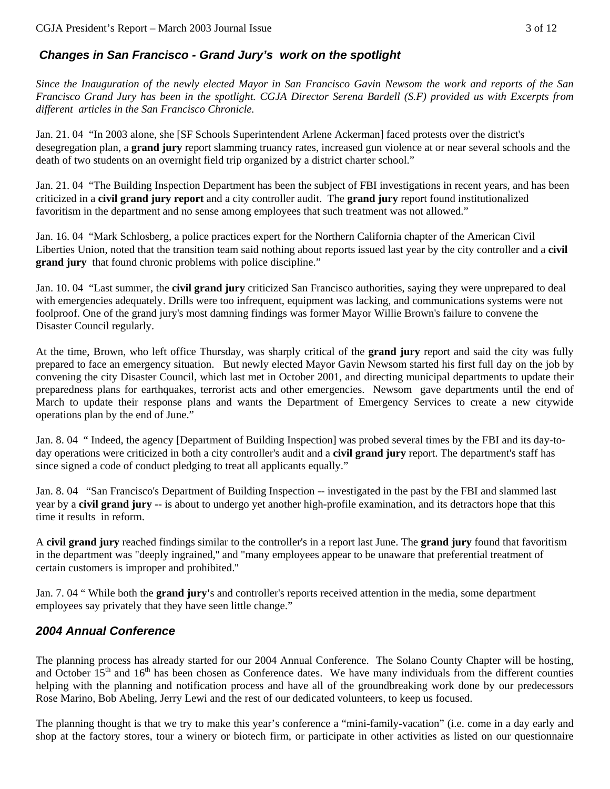# <span id="page-2-0"></span> *Changes in San Francisco - Grand Jury's work on the spotlight*

*Since the Inauguration of the newly elected Mayor in San Francisco Gavin Newsom the work and reports of the San Francisco Grand Jury has been in the spotlight. CGJA Director Serena Bardell (S.F) provided us with Excerpts from different articles in the San Francisco Chronicle.* 

Jan. 21. 04 "In 2003 alone, she [SF Schools Superintendent Arlene Ackerman] faced protests over the district's desegregation plan, a **grand jury** report slamming truancy rates, increased gun violence at or near several schools and the death of two students on an overnight field trip organized by a district charter school."

Jan. 21. 04 "The Building Inspection Department has been the subject of FBI investigations in recent years, and has been criticized in a **civil grand jury report** and a city controller audit. The **grand jury** report found institutionalized favoritism in the department and no sense among employees that such treatment was not allowed."

Jan. 16. 04 "Mark Schlosberg, a police practices expert for the Northern California chapter of the American Civil Liberties Union, noted that the transition team said nothing about reports issued last year by the city controller and a **civil grand jury** that found chronic problems with police discipline."

Jan. 10. 04 "Last summer, the **civil grand jury** criticized San Francisco authorities, saying they were unprepared to deal with emergencies adequately. Drills were too infrequent, equipment was lacking, and communications systems were not foolproof. One of the grand jury's most damning findings was former Mayor Willie Brown's failure to convene the Disaster Council regularly.

At the time, Brown, who left office Thursday, was sharply critical of the **grand jury** report and said the city was fully prepared to face an emergency situation. But newly elected Mayor Gavin Newsom started his first full day on the job by convening the city Disaster Council, which last met in October 2001, and directing municipal departments to update their preparedness plans for earthquakes, terrorist acts and other emergencies. Newsom gave departments until the end of March to update their response plans and wants the Department of Emergency Services to create a new citywide operations plan by the end of June."

Jan. 8. 04 " Indeed, the agency [Department of Building Inspection] was probed several times by the FBI and its day-today operations were criticized in both a city controller's audit and a **civil grand jury** report. The department's staff has since signed a code of conduct pledging to treat all applicants equally."

Jan. 8. 04 "San Francisco's Department of Building Inspection -- investigated in the past by the FBI and slammed last year by a **civil grand jury** -- is about to undergo yet another high-profile examination, and its detractors hope that this time it results in reform.

A **civil grand jury** reached findings similar to the controller's in a report last June. The **grand jury** found that favoritism in the department was "deeply ingrained,'' and "many employees appear to be unaware that preferential treatment of certain customers is improper and prohibited.''

Jan. 7. 04 " While both the **grand jury'**s and controller's reports received attention in the media, some department employees say privately that they have seen little change."

## <span id="page-2-1"></span>*2004 Annual Conference*

The planning process has already started for our 2004 Annual Conference. The Solano County Chapter will be hosting, and October 15<sup>th</sup> and 16<sup>th</sup> has been chosen as Conference dates. We have many individuals from the different counties helping with the planning and notification process and have all of the groundbreaking work done by our predecessors Rose Marino, Bob Abeling, Jerry Lewi and the rest of our dedicated volunteers, to keep us focused.

The planning thought is that we try to make this year's conference a "mini-family-vacation" (i.e. come in a day early and shop at the factory stores, tour a winery or biotech firm, or participate in other activities as listed on our questionnaire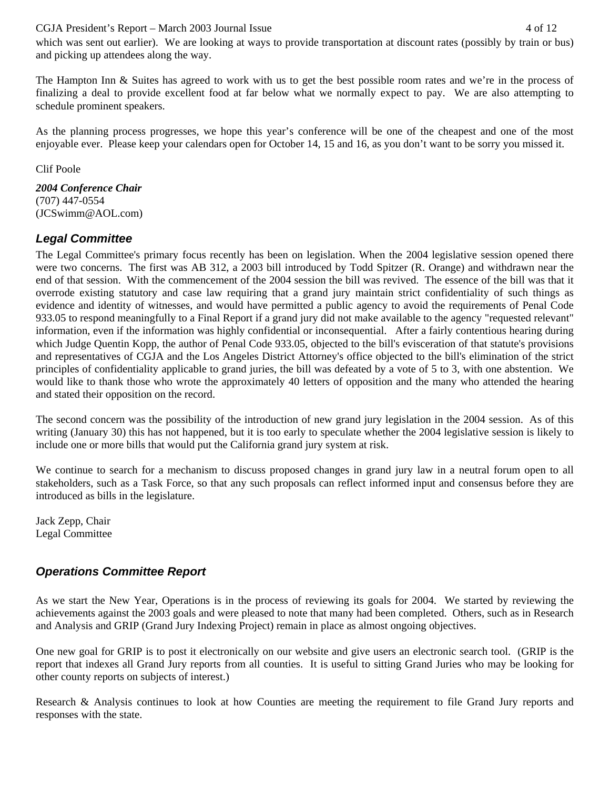#### CGJA President's Report – March 2003 Journal Issue 4 of 12

which was sent out earlier). We are looking at ways to provide transportation at discount rates (possibly by train or bus) and picking up attendees along the way.

The Hampton Inn & Suites has agreed to work with us to get the best possible room rates and we're in the process of finalizing a deal to provide excellent food at far below what we normally expect to pay. We are also attempting to schedule prominent speakers.

As the planning process progresses, we hope this year's conference will be one of the cheapest and one of the most enjoyable ever. Please keep your calendars open for October 14, 15 and 16, as you don't want to be sorry you missed it.

Clif Poole

<span id="page-3-0"></span>*2004 Conference Chair* (707) 447-0554 (JCSwimm@AOL.com)

## <span id="page-3-1"></span>*Legal Committee*

The Legal Committee's primary focus recently has been on legislation. When the 2004 legislative session opened there were two concerns. The first was AB 312, a 2003 bill introduced by Todd Spitzer (R. Orange) and withdrawn near the end of that session. With the commencement of the 2004 session the bill was revived. The essence of the bill was that it overrode existing statutory and case law requiring that a grand jury maintain strict confidentiality of such things as evidence and identity of witnesses, and would have permitted a public agency to avoid the requirements of Penal Code 933.05 to respond meaningfully to a Final Report if a grand jury did not make available to the agency "requested relevant" information, even if the information was highly confidential or inconsequential. After a fairly contentious hearing during which Judge Quentin Kopp, the author of Penal Code 933.05, objected to the bill's evisceration of that statute's provisions and representatives of CGJA and the Los Angeles District Attorney's office objected to the bill's elimination of the strict principles of confidentiality applicable to grand juries, the bill was defeated by a vote of 5 to 3, with one abstention. We would like to thank those who wrote the approximately 40 letters of opposition and the many who attended the hearing and stated their opposition on the record.

The second concern was the possibility of the introduction of new grand jury legislation in the 2004 session. As of this writing (January 30) this has not happened, but it is too early to speculate whether the 2004 legislative session is likely to include one or more bills that would put the California grand jury system at risk.

We continue to search for a mechanism to discuss proposed changes in grand jury law in a neutral forum open to all stakeholders, such as a Task Force, so that any such proposals can reflect informed input and consensus before they are introduced as bills in the legislature.

Jack Zepp, Chair Legal Committee

## <span id="page-3-2"></span>*Operations Committee Report*

As we start the New Year, Operations is in the process of reviewing its goals for 2004. We started by reviewing the achievements against the 2003 goals and were pleased to note that many had been completed. Others, such as in Research and Analysis and GRIP (Grand Jury Indexing Project) remain in place as almost ongoing objectives.

One new goal for GRIP is to post it electronically on our website and give users an electronic search tool. (GRIP is the report that indexes all Grand Jury reports from all counties. It is useful to sitting Grand Juries who may be looking for other county reports on subjects of interest.)

Research & Analysis continues to look at how Counties are meeting the requirement to file Grand Jury reports and responses with the state.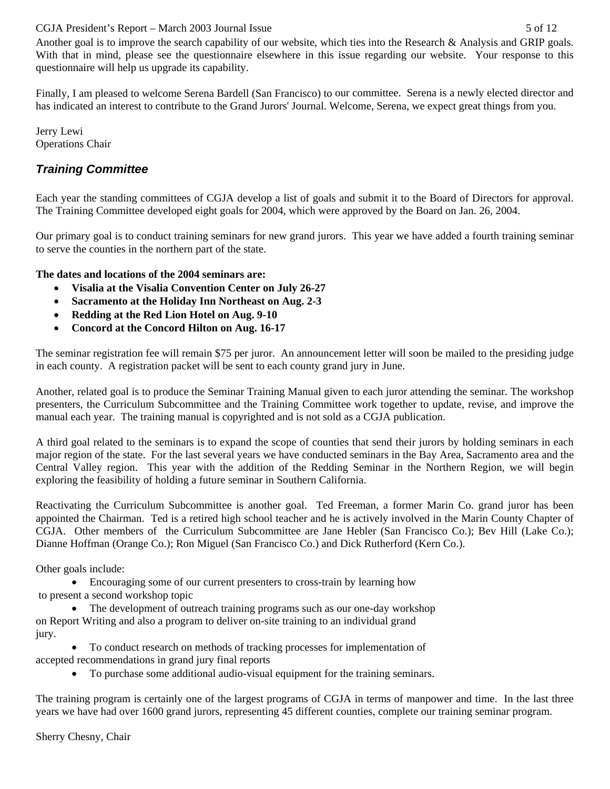#### CGJA President's Report – March 2003 Journal Issue 5 of 12

Another goal is to improve the search capability of our website, which ties into the Research & Analysis and GRIP goals. With that in mind, please see the questionnaire elsewhere in this issue regarding our website. Your response to this questionnaire will help us upgrade its capability.

Finally, I am pleased to welcome Serena Bardell (San Francisco) to our committee. Serena is a newly elected director and has indicated an interest to contribute to the Grand Jurors' Journal. Welcome, Serena, we expect great things from you.

Jerry Lewi Operations Chair

## <span id="page-4-0"></span>*Training Committee*

Each year the standing committees of CGJA develop a list of goals and submit it to the Board of Directors for approval. The Training Committee developed eight goals for 2004, which were approved by the Board on Jan. 26, 2004.

Our primary goal is to conduct training seminars for new grand jurors. This year we have added a fourth training seminar to serve the counties in the northern part of the state.

**The dates and locations of the 2004 seminars are:**

- **Visalia at the Visalia Convention Center on July 26-27**
- **Sacramento at the Holiday Inn Northeast on Aug. 2-3**
- **Redding at the Red Lion Hotel on Aug. 9-10**
- **Concord at the Concord Hilton on Aug. 16-17**

The seminar registration fee will remain \$75 per juror. An announcement letter will soon be mailed to the presiding judge in each county. A registration packet will be sent to each county grand jury in June.

Another, related goal is to produce the Seminar Training Manual given to each juror attending the seminar. The workshop presenters, the Curriculum Subcommittee and the Training Committee work together to update, revise, and improve the manual each year. The training manual is copyrighted and is not sold as a CGJA publication.

A third goal related to the seminars is to expand the scope of counties that send their jurors by holding seminars in each major region of the state. For the last several years we have conducted seminars in the Bay Area, Sacramento area and the Central Valley region. This year with the addition of the Redding Seminar in the Northern Region, we will begin exploring the feasibility of holding a future seminar in Southern California.

Reactivating the Curriculum Subcommittee is another goal. Ted Freeman, a former Marin Co. grand juror has been appointed the Chairman. Ted is a retired high school teacher and he is actively involved in the Marin County Chapter of CGJA. Other members of the Curriculum Subcommittee are Jane Hebler (San Francisco Co.); Bev Hill (Lake Co.); Dianne Hoffman (Orange Co.); Ron Miguel (San Francisco Co.) and Dick Rutherford (Kern Co.).

Other goals include:

• Encouraging some of our current presenters to cross-train by learning how to present a second workshop topic

The development of outreach training programs such as our one-day workshop on Report Writing and also a program to deliver on-site training to an individual grand jury.

- To conduct research on methods of tracking processes for implementation of accepted recommendations in grand jury final reports
	- To purchase some additional audio-visual equipment for the training seminars.

The training program is certainly one of the largest programs of CGJA in terms of manpower and time. In the last three years we have had over 1600 grand jurors, representing 45 different counties, complete our training seminar program.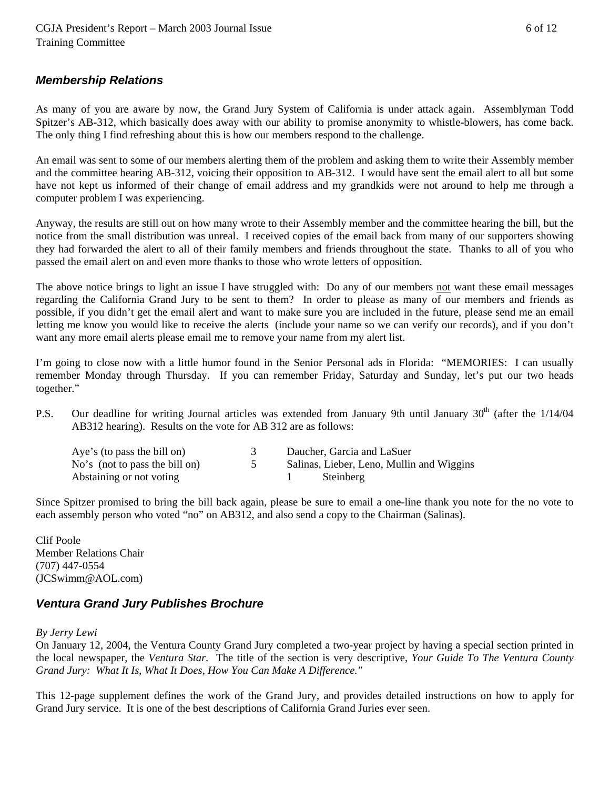## <span id="page-5-0"></span>*Membership Relations*

As many of you are aware by now, the Grand Jury System of California is under attack again. Assemblyman Todd Spitzer's AB-312, which basically does away with our ability to promise anonymity to whistle-blowers, has come back. The only thing I find refreshing about this is how our members respond to the challenge.

An email was sent to some of our members alerting them of the problem and asking them to write their Assembly member and the committee hearing AB-312, voicing their opposition to AB-312. I would have sent the email alert to all but some have not kept us informed of their change of email address and my grandkids were not around to help me through a computer problem I was experiencing.

Anyway, the results are still out on how many wrote to their Assembly member and the committee hearing the bill, but the notice from the small distribution was unreal. I received copies of the email back from many of our supporters showing they had forwarded the alert to all of their family members and friends throughout the state. Thanks to all of you who passed the email alert on and even more thanks to those who wrote letters of opposition.

The above notice brings to light an issue I have struggled with: Do any of our members not want these email messages regarding the California Grand Jury to be sent to them? In order to please as many of our members and friends as possible, if you didn't get the email alert and want to make sure you are included in the future, please send me an email letting me know you would like to receive the alerts (include your name so we can verify our records), and if you don't want any more email alerts please email me to remove your name from my alert list.

I'm going to close now with a little humor found in the Senior Personal ads in Florida: "MEMORIES: I can usually remember Monday through Thursday. If you can remember Friday, Saturday and Sunday, let's put our two heads together."

P.S. Our deadline for writing Journal articles was extended from January 9th until January 30<sup>th</sup> (after the 1/14/04 AB312 hearing). Results on the vote for AB 312 are as follows:

| Aye's (to pass the bill on)    | Daucher, Garcia and LaSuer                |
|--------------------------------|-------------------------------------------|
| No's (not to pass the bill on) | Salinas, Lieber, Leno, Mullin and Wiggins |
| Abstaining or not voting       | Steinberg                                 |

Since Spitzer promised to bring the bill back again, please be sure to email a one-line thank you note for the no vote to each assembly person who voted "no" on AB312, and also send a copy to the Chairman (Salinas).

Clif Poole Member Relations Chair (707) 447-0554 (JCSwimm@AOL.com)

## <span id="page-5-1"></span>*Ventura Grand Jury Publishes Brochure*

*By Jerry Lewi*

On January 12, 2004, the Ventura County Grand Jury completed a two-year project by having a special section printed in the local newspaper, the *Ventura Star.* The title of the section is very descriptive, *Your Guide To The Ventura County Grand Jury: What It Is, What It Does, How You Can Make A Difference."*

This 12-page supplement defines the work of the Grand Jury, and provides detailed instructions on how to apply for Grand Jury service. It is one of the best descriptions of California Grand Juries ever seen.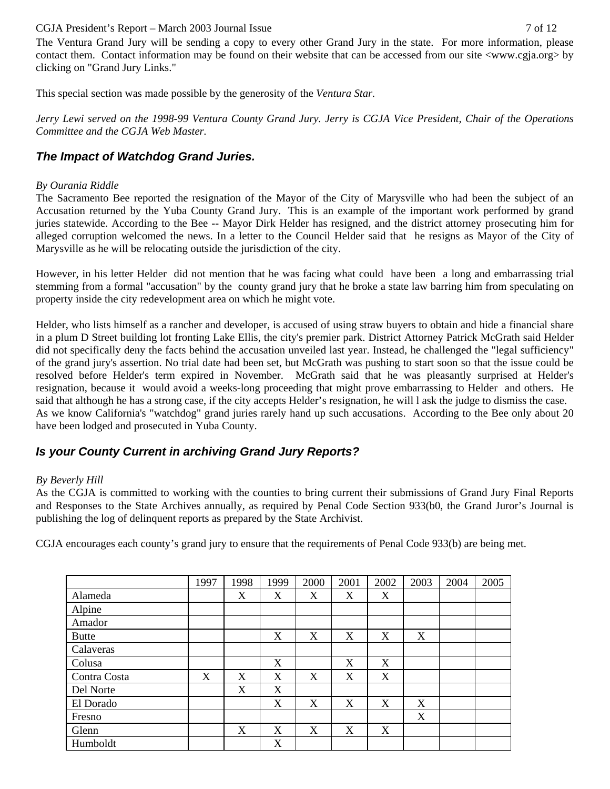#### CGJA President's Report – March 2003 Journal Issue 7 of 12

The Ventura Grand Jury will be sending a copy to every other Grand Jury in the state. For more information, please contact them. Contact information may be found on their website that can be accessed from our site <www.cgja.org> by clicking on "Grand Jury Links."

This special section was made possible by the generosity of the *Ventura Star.*

*Jerry Lewi served on the 1998-99 Ventura County Grand Jury. Jerry is CGJA Vice President, Chair of the Operations Committee and the CGJA Web Master.*

## <span id="page-6-0"></span>*The Impact of Watchdog Grand Juries.*

#### *By Ourania Riddle*

The Sacramento Bee reported the resignation of the Mayor of the City of Marysville who had been the subject of an Accusation returned by the Yuba County Grand Jury. This is an example of the important work performed by grand juries statewide. According to the Bee -- Mayor Dirk Helder has resigned, and the district attorney prosecuting him for alleged corruption welcomed the news. In a letter to the Council Helder said that he resigns as Mayor of the City of Marysville as he will be relocating outside the jurisdiction of the city.

However, in his letter Helder did not mention that he was facing what could have been a long and embarrassing trial stemming from a formal "accusation" by the county grand jury that he broke a state law barring him from speculating on property inside the city redevelopment area on which he might vote.

Helder, who lists himself as a rancher and developer, is accused of using straw buyers to obtain and hide a financial share in a plum D Street building lot fronting Lake Ellis, the city's premier park. District Attorney Patrick McGrath said Helder did not specifically deny the facts behind the accusation unveiled last year. Instead, he challenged the "legal sufficiency" of the grand jury's assertion. No trial date had been set, but McGrath was pushing to start soon so that the issue could be resolved before Helder's term expired in November. McGrath said that he was pleasantly surprised at Helder's resignation, because it would avoid a weeks-long proceeding that might prove embarrassing to Helder and others. He said that although he has a strong case, if the city accepts Helder's resignation, he will l ask the judge to dismiss the case. As we know California's "watchdog" grand juries rarely hand up such accusations. According to the Bee only about 20 have been lodged and prosecuted in Yuba County.

## <span id="page-6-1"></span>*Is your County Current in archiving Grand Jury Reports?*

#### *By Beverly Hill*

As the CGJA is committed to working with the counties to bring current their submissions of Grand Jury Final Reports and Responses to the State Archives annually, as required by Penal Code Section 933(b0, the Grand Juror's Journal is publishing the log of delinquent reports as prepared by the State Archivist.

CGJA encourages each county's grand jury to ensure that the requirements of Penal Code 933(b) are being met.

|              | 1997 | 1998 | 1999 | 2000 | 2001 | 2002 | 2003 | 2004 | 2005 |
|--------------|------|------|------|------|------|------|------|------|------|
| Alameda      |      | X    | X    | X    | X    | X    |      |      |      |
| Alpine       |      |      |      |      |      |      |      |      |      |
| Amador       |      |      |      |      |      |      |      |      |      |
| <b>Butte</b> |      |      | X    | X    | X    | X    | X    |      |      |
| Calaveras    |      |      |      |      |      |      |      |      |      |
| Colusa       |      |      | X    |      | X    | X    |      |      |      |
| Contra Costa | X    | X    | X    | X    | X    | X    |      |      |      |
| Del Norte    |      | X    | X    |      |      |      |      |      |      |
| El Dorado    |      |      | X    | X    | X    | X    | X    |      |      |
| Fresno       |      |      |      |      |      |      | X    |      |      |
| Glenn        |      | X    | X    | X    | X    | X    |      |      |      |
| Humboldt     |      |      | X    |      |      |      |      |      |      |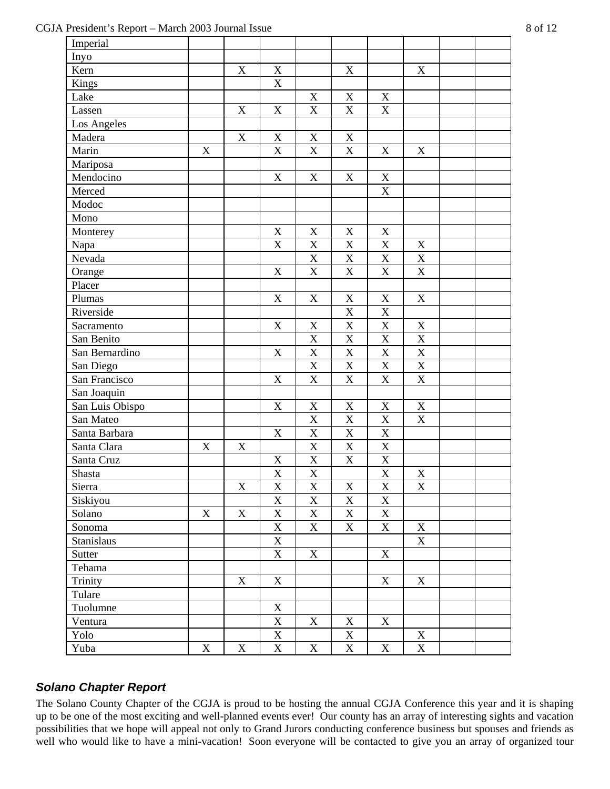#### CGJA President's Report – March 2003 Journal Issue 8 of 12

| Imperial        |             |             |                         |                           |                           |                           |                         |  |
|-----------------|-------------|-------------|-------------------------|---------------------------|---------------------------|---------------------------|-------------------------|--|
| Inyo            |             |             |                         |                           |                           |                           |                         |  |
| Kern            |             | $\mathbf X$ | $\mathbf X$             |                           | $\mathbf X$               |                           | $\mathbf X$             |  |
| Kings           |             |             | $\mathbf X$             |                           |                           |                           |                         |  |
| Lake            |             |             |                         | $\mathbf X$               | $\mathbf X$               | $\mathbf X$               |                         |  |
| Lassen          |             | $\mathbf X$ | $\mathbf X$             | $\mathbf X$               | $\overline{X}$            | $\overline{\text{X}}$     |                         |  |
| Los Angeles     |             |             |                         |                           |                           |                           |                         |  |
| Madera          |             | $\mathbf X$ | $\mathbf X$             | $\mathbf X$               | $\mathbf X$               |                           |                         |  |
| Marin           | $\mathbf X$ |             | $\mathbf X$             | $\mathbf X$               | $\mathbf X$               | $\mathbf X$               | $\mathbf X$             |  |
| Mariposa        |             |             |                         |                           |                           |                           |                         |  |
| Mendocino       |             |             | $\mathbf X$             | $\mathbf X$               | $\mathbf X$               | $\mathbf X$               |                         |  |
| Merced          |             |             |                         |                           |                           | $\overline{\mathbf{X}}$   |                         |  |
| Modoc           |             |             |                         |                           |                           |                           |                         |  |
| Mono            |             |             |                         |                           |                           |                           |                         |  |
| Monterey        |             |             | $\mathbf X$             | $\mathbf X$               | $\mathbf X$               | $\mathbf X$               |                         |  |
| Napa            |             |             | $\mathbf X$             | $\mathbf X$               | X                         | $\overline{X}$            | $\mathbf X$             |  |
| Nevada          |             |             |                         | $\mathbf X$               | $\boldsymbol{\mathrm{X}}$ | $\boldsymbol{\mathrm{X}}$ | $\mathbf X$             |  |
| Orange          |             |             | $\mathbf X$             | $\overline{\text{X}}$     | $\overline{\text{X}}$     | $\overline{\text{X}}$     | $\mathbf X$             |  |
| Placer          |             |             |                         |                           |                           |                           |                         |  |
| Plumas          |             |             | $\mathbf X$             | $\mathbf X$               | $\mathbf X$               | $\boldsymbol{\mathrm{X}}$ | $\mathbf X$             |  |
| Riverside       |             |             |                         |                           | $\overline{X}$            | $\mathbf X$               |                         |  |
| Sacramento      |             |             | $\mathbf X$             | $\mathbf X$               | $\overline{\text{X}}$     | $\overline{X}$            | $\mathbf X$             |  |
| San Benito      |             |             |                         | $\mathbf X$               | $\boldsymbol{\mathrm{X}}$ | $\mathbf X$               | $\mathbf X$             |  |
| San Bernardino  |             |             | $\mathbf X$             | $\mathbf X$               | $\overline{X}$            | $\overline{\text{X}}$     | $\overline{\text{X}}$   |  |
| San Diego       |             |             |                         | $\mathbf X$               | $\mathbf X$               | $\mathbf X$               | $\mathbf X$             |  |
| San Francisco   |             |             | $\mathbf X$             | $\mathbf X$               | $\overline{X}$            | $\mathbf X$               | $\overline{X}$          |  |
| San Joaquin     |             |             |                         |                           |                           |                           |                         |  |
| San Luis Obispo |             |             | $\mathbf X$             | $\mathbf X$               | $\mathbf X$               | $\mathbf X$               | $\mathbf X$             |  |
| San Mateo       |             |             |                         | $\mathbf X$               | $\boldsymbol{\mathrm{X}}$ | $\boldsymbol{\mathrm{X}}$ | $\mathbf X$             |  |
| Santa Barbara   |             |             | $\mathbf X$             | $\overline{\text{X}}$     | $\overline{\text{X}}$     | $\overline{X}$            |                         |  |
| Santa Clara     | $\mathbf X$ | $\mathbf X$ |                         | $\overline{X}$            | $\overline{X}$            | $\mathbf X$               |                         |  |
| Santa Cruz      |             |             | $\mathbf X$             | $\mathbf X$               | $\mathbf X$               | $\mathbf X$               |                         |  |
| Shasta          |             |             | X                       | $\mathbf X$               |                           | $\mathbf X$               | $\mathbf X$             |  |
| Sierra          |             | $\mathbf X$ | $\overline{\textbf{X}}$ | $\overline{\textbf{X}}$   | $\overline{X}$            | $\overline{\textbf{X}}$   | $\overline{\textbf{X}}$ |  |
| Siskiyou        |             |             | $\mathbf X$             | $\mathbf X$               | $\mathbf X$               | $\mathbf X$               |                         |  |
| Solano          | X           | $\mathbf X$ | $\mathbf X$             | $\mathbf X$               | $\mathbf X$               | $\mathbf X$               |                         |  |
| Sonoma          |             |             | $\mathbf X$             | $\mathbf X$               | $\mathbf X$               | $\mathbf X$               | $\mathbf X$             |  |
| Stanislaus      |             |             | $\mathbf X$             |                           |                           |                           | $\mathbf X$             |  |
| Sutter          |             |             | $\mathbf X$             | $\mathbf X$               |                           | $\mathbf X$               |                         |  |
| Tehama          |             |             |                         |                           |                           |                           |                         |  |
| Trinity         |             | $\mathbf X$ | $\mathbf X$             |                           |                           | $\mathbf X$               | $\mathbf X$             |  |
| Tulare          |             |             |                         |                           |                           |                           |                         |  |
| Tuolumne        |             |             | $\mathbf X$             |                           |                           |                           |                         |  |
| Ventura         |             |             | $\mathbf X$             | $\boldsymbol{\mathrm{X}}$ | $\mathbf X$               | X                         |                         |  |
| Yolo            |             |             | $\mathbf X$             |                           | $\mathbf X$               |                           | $\mathbf X$             |  |
| Yuba            | $\mathbf X$ | $\mathbf X$ | $\mathbf X$             | $\mathbf X$               | $\mathbf X$               | $\mathbf X$               | $\mathbf X$             |  |
|                 |             |             |                         |                           |                           |                           |                         |  |

## <span id="page-7-0"></span>*Solano Chapter Report*

The Solano County Chapter of the CGJA is proud to be hosting the annual CGJA Conference this year and it is shaping up to be one of the most exciting and well-planned events ever! Our county has an array of interesting sights and vacation possibilities that we hope will appeal not only to Grand Jurors conducting conference business but spouses and friends as well who would like to have a mini-vacation! Soon everyone will be contacted to give you an array of organized tour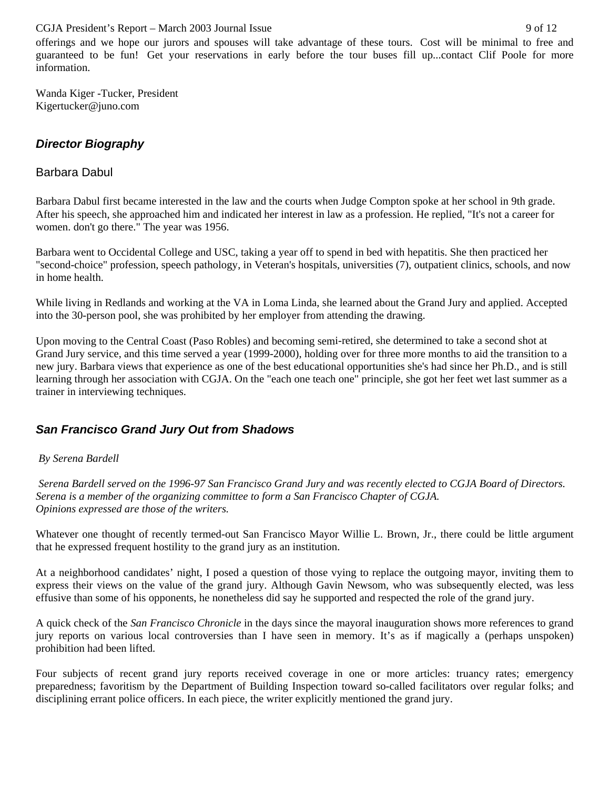#### CGJA President's Report – March 2003 Journal Issue 9 of 12

offerings and we hope our jurors and spouses will take advantage of these tours. Cost will be minimal to free and guaranteed to be fun! Get your reservations in early before the tour buses fill up...contact Clif Poole for more information.

Wanda Kiger -Tucker, President Kigertucker@juno.com

## <span id="page-8-0"></span>*Director Biography*

### <span id="page-8-1"></span>Barbara Dabul

Barbara Dabul first became interested in the law and the courts when Judge Compton spoke at her school in 9th grade. After his speech, she approached him and indicated her interest in law as a profession. He replied, "It's not a career for women. don't go there." The year was 1956.

Barbara went to Occidental College and USC, taking a year off to spend in bed with hepatitis. She then practiced her "second-choice" profession, speech pathology, in Veteran's hospitals, universities (7), outpatient clinics, schools, and now in home health.

While living in Redlands and working at the VA in Loma Linda, she learned about the Grand Jury and applied. Accepted into the 30-person pool, she was prohibited by her employer from attending the drawing.

Upon moving to the Central Coast (Paso Robles) and becoming semi-retired, she determined to take a second shot at Grand Jury service, and this time served a year (1999-2000), holding over for three more months to aid the transition to a new jury. Barbara views that experience as one of the best educational opportunities she's had since her Ph.D., and is still learning through her association with CGJA. On the "each one teach one" principle, she got her feet wet last summer as a trainer in interviewing techniques.

## <span id="page-8-2"></span>*San Francisco Grand Jury Out from Shadows*

#### *By Serena Bardell*

 *Serena Bardell served on the 1996-97 San Francisco Grand Jury and was recently elected to CGJA Board of Directors. Serena is a member of the organizing committee to form a San Francisco Chapter of CGJA. Opinions expressed are those of the writers.*

Whatever one thought of recently termed-out San Francisco Mayor Willie L. Brown, Jr., there could be little argument that he expressed frequent hostility to the grand jury as an institution.

At a neighborhood candidates' night, I posed a question of those vying to replace the outgoing mayor, inviting them to express their views on the value of the grand jury. Although Gavin Newsom, who was subsequently elected, was less effusive than some of his opponents, he nonetheless did say he supported and respected the role of the grand jury.

A quick check of the *San Francisco Chronicle* in the days since the mayoral inauguration shows more references to grand jury reports on various local controversies than I have seen in memory. It's as if magically a (perhaps unspoken) prohibition had been lifted.

Four subjects of recent grand jury reports received coverage in one or more articles: truancy rates; emergency preparedness; favoritism by the Department of Building Inspection toward so-called facilitators over regular folks; and disciplining errant police officers. In each piece, the writer explicitly mentioned the grand jury.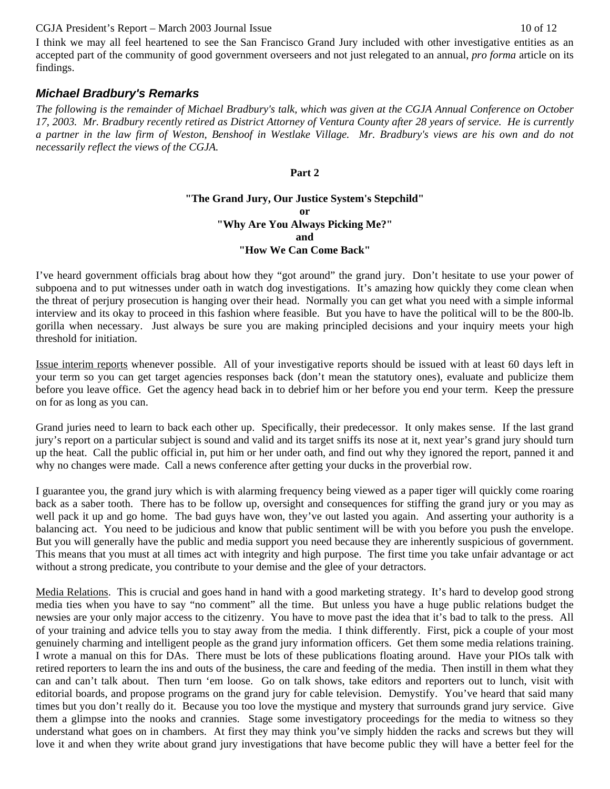#### CGJA President's Report – March 2003 Journal Issue 10 of 12

I think we may all feel heartened to see the San Francisco Grand Jury included with other investigative entities as an accepted part of the community of good government overseers and not just relegated to an annual, *pro forma* article on its findings.

## <span id="page-9-0"></span>*Michael Bradbury's Remarks*

*The following is the remainder of Michael Bradbury's talk, which was given at the CGJA Annual Conference on October 17, 2003. Mr. Bradbury recently retired as District Attorney of Ventura County after 28 years of service. He is currently a partner in the law firm of Weston, Benshoof in Westlake Village. Mr. Bradbury's views are his own and do not necessarily reflect the views of the CGJA.*

#### **Part 2**

#### **"The Grand Jury, Our Justice System's Stepchild" or "Why Are You Always Picking Me?" and "How We Can Come Back"**

I've heard government officials brag about how they "got around" the grand jury. Don't hesitate to use your power of subpoena and to put witnesses under oath in watch dog investigations. It's amazing how quickly they come clean when the threat of perjury prosecution is hanging over their head. Normally you can get what you need with a simple informal interview and its okay to proceed in this fashion where feasible. But you have to have the political will to be the 800-lb. gorilla when necessary. Just always be sure you are making principled decisions and your inquiry meets your high threshold for initiation.

Issue interim reports whenever possible. All of your investigative reports should be issued with at least 60 days left in your term so you can get target agencies responses back (don't mean the statutory ones), evaluate and publicize them before you leave office. Get the agency head back in to debrief him or her before you end your term. Keep the pressure on for as long as you can.

Grand juries need to learn to back each other up. Specifically, their predecessor. It only makes sense. If the last grand jury's report on a particular subject is sound and valid and its target sniffs its nose at it, next year's grand jury should turn up the heat. Call the public official in, put him or her under oath, and find out why they ignored the report, panned it and why no changes were made. Call a news conference after getting your ducks in the proverbial row.

I guarantee you, the grand jury which is with alarming frequency being viewed as a paper tiger will quickly come roaring back as a saber tooth. There has to be follow up, oversight and consequences for stiffing the grand jury or you may as well pack it up and go home. The bad guys have won, they've out lasted you again. And asserting your authority is a balancing act. You need to be judicious and know that public sentiment will be with you before you push the envelope. But you will generally have the public and media support you need because they are inherently suspicious of government. This means that you must at all times act with integrity and high purpose. The first time you take unfair advantage or act without a strong predicate, you contribute to your demise and the glee of your detractors.

Media Relations. This is crucial and goes hand in hand with a good marketing strategy. It's hard to develop good strong media ties when you have to say "no comment" all the time. But unless you have a huge public relations budget the newsies are your only major access to the citizenry. You have to move past the idea that it's bad to talk to the press. All of your training and advice tells you to stay away from the media. I think differently. First, pick a couple of your most genuinely charming and intelligent people as the grand jury information officers. Get them some media relations training. I wrote a manual on this for DAs. There must be lots of these publications floating around. Have your PIOs talk with retired reporters to learn the ins and outs of the business, the care and feeding of the media. Then instill in them what they can and can't talk about. Then turn 'em loose. Go on talk shows, take editors and reporters out to lunch, visit with editorial boards, and propose programs on the grand jury for cable television. Demystify. You've heard that said many times but you don't really do it. Because you too love the mystique and mystery that surrounds grand jury service. Give them a glimpse into the nooks and crannies. Stage some investigatory proceedings for the media to witness so they understand what goes on in chambers. At first they may think you've simply hidden the racks and screws but they will love it and when they write about grand jury investigations that have become public they will have a better feel for the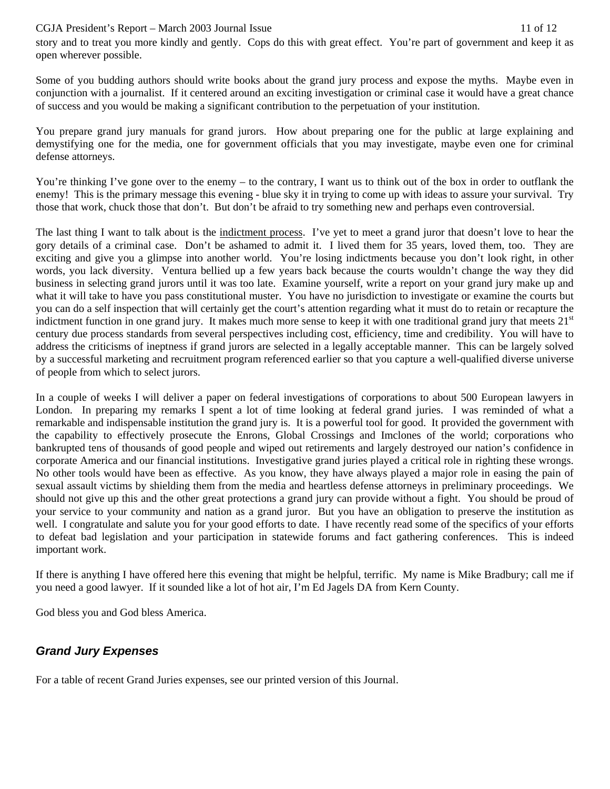#### CGJA President's Report – March 2003 Journal Issue 11 of 12

story and to treat you more kindly and gently. Cops do this with great effect. You're part of government and keep it as open wherever possible.

Some of you budding authors should write books about the grand jury process and expose the myths. Maybe even in conjunction with a journalist. If it centered around an exciting investigation or criminal case it would have a great chance of success and you would be making a significant contribution to the perpetuation of your institution.

You prepare grand jury manuals for grand jurors. How about preparing one for the public at large explaining and demystifying one for the media, one for government officials that you may investigate, maybe even one for criminal defense attorneys.

You're thinking I've gone over to the enemy – to the contrary, I want us to think out of the box in order to outflank the enemy! This is the primary message this evening - blue sky it in trying to come up with ideas to assure your survival. Try those that work, chuck those that don't. But don't be afraid to try something new and perhaps even controversial.

The last thing I want to talk about is the indictment process. I've yet to meet a grand juror that doesn't love to hear the gory details of a criminal case. Don't be ashamed to admit it. I lived them for 35 years, loved them, too. They are exciting and give you a glimpse into another world. You're losing indictments because you don't look right, in other words, you lack diversity. Ventura bellied up a few years back because the courts wouldn't change the way they did business in selecting grand jurors until it was too late. Examine yourself, write a report on your grand jury make up and what it will take to have you pass constitutional muster. You have no jurisdiction to investigate or examine the courts but you can do a self inspection that will certainly get the court's attention regarding what it must do to retain or recapture the indictment function in one grand jury. It makes much more sense to keep it with one traditional grand jury that meets  $21<sup>st</sup>$ century due process standards from several perspectives including cost, efficiency, time and credibility. You will have to address the criticisms of ineptness if grand jurors are selected in a legally acceptable manner. This can be largely solved by a successful marketing and recruitment program referenced earlier so that you capture a well-qualified diverse universe of people from which to select jurors.

In a couple of weeks I will deliver a paper on federal investigations of corporations to about 500 European lawyers in London. In preparing my remarks I spent a lot of time looking at federal grand juries. I was reminded of what a remarkable and indispensable institution the grand jury is. It is a powerful tool for good. It provided the government with the capability to effectively prosecute the Enrons, Global Crossings and Imclones of the world; corporations who bankrupted tens of thousands of good people and wiped out retirements and largely destroyed our nation's confidence in corporate America and our financial institutions. Investigative grand juries played a critical role in righting these wrongs. No other tools would have been as effective. As you know, they have always played a major role in easing the pain of sexual assault victims by shielding them from the media and heartless defense attorneys in preliminary proceedings. We should not give up this and the other great protections a grand jury can provide without a fight. You should be proud of your service to your community and nation as a grand juror. But you have an obligation to preserve the institution as well. I congratulate and salute you for your good efforts to date. I have recently read some of the specifics of your efforts to defeat bad legislation and your participation in statewide forums and fact gathering conferences. This is indeed important work.

If there is anything I have offered here this evening that might be helpful, terrific. My name is Mike Bradbury; call me if you need a good lawyer. If it sounded like a lot of hot air, I'm Ed Jagels DA from Kern County.

God bless you and God bless America.

## <span id="page-10-0"></span>*Grand Jury Expenses*

For a table of recent Grand Juries expenses, see our printed version of this Journal.